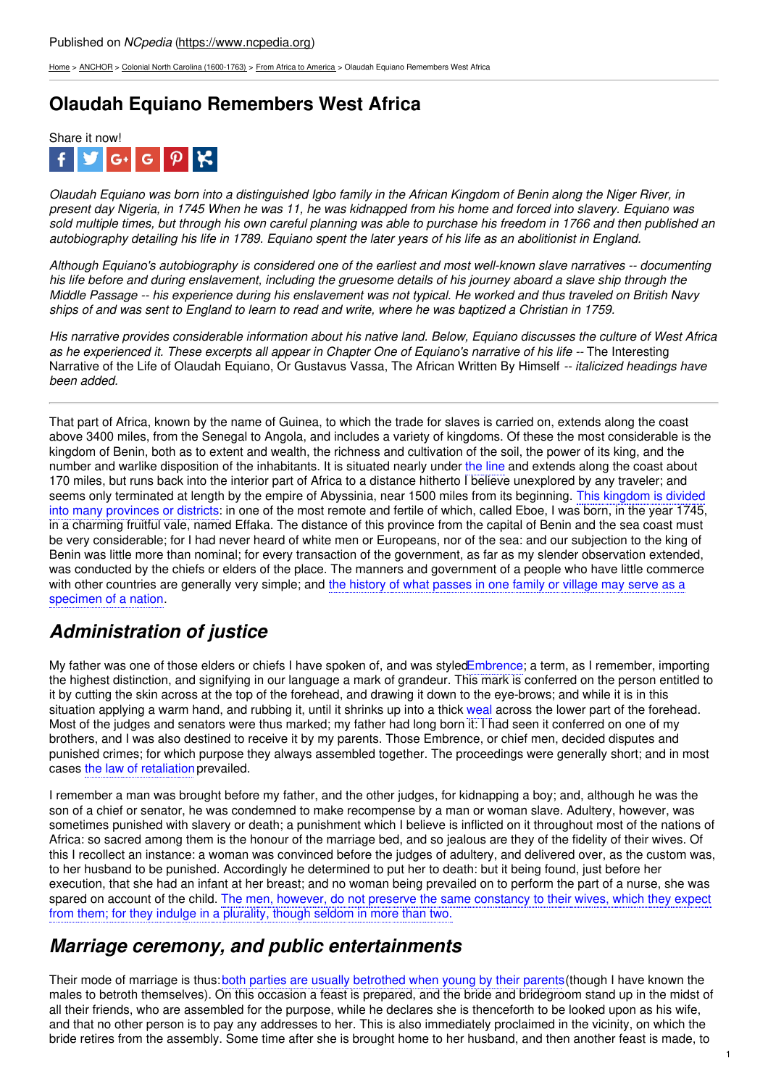[Home](https://www.ncpedia.org/) > [ANCHOR](https://www.ncpedia.org/anchor/anchor) > Colonial North Carolina [\(1600-1763\)](https://www.ncpedia.org/anchor/colonial-north-carolina-1600) > From Africa to [America](https://www.ncpedia.org/anchor/africa-america) > Olaudah Equiano Remembers West Africa

## **Olaudah Equiano Remembers West Africa**



Olaudah Equiano was born into a distinguished labo family in the African Kingdom of Benin along the Niger River, in present day Nigeria, in 1745 When he was 11, he was kidnapped from his home and forced into slavery. Equiano was sold multiple times, but through his own careful planning was able to purchase his freedom in 1766 and then published an autobiography detailing his life in 1789. Equiano spent the later years of his life as an abolitionist in England.

Although Equiano's autobiography is considered one of the earliest and most well-known slave narratives -- documenting his life before and during enslavement, including the gruesome details of his journey aboard a slave ship through the Middle Passage -- his experience during his enslavement was not typical. He worked and thus traveled on British Navy ships of and was sent to England to learn to read and write, where he was baptized a Christian in 1759.

His narrative provides considerable [information](http://www.social9.com) about his native land. Below, Equiano discusses the culture of West Africa as he experienced it. These excerpts all appear in Chapter One of Equiano's narrative of his life -- The Interesting Narrative of the Life of Olaudah Equiano, Or Gustavus Vassa, The African Written By Himself *-- italicized headings have been added.*

That part of Africa, known by the name of Guinea, to which the trade for slaves is carried on, extends along the coast above 3400 miles, from the Senegal to Angola, and includes a variety of kingdoms. Of these the most considerable is the kingdom of Benin, both as to extent and wealth, the richness and cultivation of the soil, the power of its king, and the number and warlike disposition of the inhabitants. It is situated nearly under the line and extends along the coast about 170 miles, but runs back into the interior part of Africa to a distance hitherto I believe unexplored by any traveler; and seems only terminated at length by the empire of Abyssinia, near 1500 miles from its beginning. This kingdom is divided into many provinces or districts: in one of the most remote and fertile of which, called Eboe, I was born, in the year 1745, in a charming fruitful vale, named Effaka. The distance of this province from the capital of Benin and the sea coast must be very considerable; for I had never heard of white men or Europeans, nor of the sea: and our subjection to the king of Benin was little more than nominal; for every transaction of the government, as far as my slender observation extended, was conducted by the chiefs or elders of the place. The manners and government of a people who have little commerce with other countries are generally very simple; and the history of what passes in one family or village may serve as a specimen of a nation.

# *Administration of justice*

My father was one of those elders or chiefs I have spoken of, and was styledEmbrence; a term, as I remember, importing the highest distinction, and signifying in our language a mark of grandeur. This mark is conferred on the person entitled to it by cutting the skin across at the top of the forehead, and drawing it down to the eye-brows; and while it is in this situation applying a warm hand, and rubbing it, until it shrinks up into a thick weal across the lower part of the forehead. Most of the judges and senators were thus marked; my father had long born it: I had seen it conferred on one of my brothers, and I was also destined to receive it by my parents. Those Embrence, or chief men, decided disputes and punished crimes; for which purpose they always assembled together. The proceedings were generally short; and in most cases the law of retaliation prevailed.

I remember a man was brought before my father, and the other judges, for kidnapping a boy; and, although he was the son of a chief or senator, he was condemned to make recompense by a man or woman slave. Adultery, however, was sometimes punished with slavery or death; a punishment which I believe is inflicted on it throughout most of the nations of Africa: so sacred among them is the honour of the marriage bed, and so jealous are they of the fidelity of their wives. Of this I recollect an instance: a woman was convinced before the judges of adultery, and delivered over, as the custom was, to her husband to be punished. Accordingly he determined to put her to death: but it being found, just before her execution, that she had an infant at her breast; and no woman being prevailed on to perform the part of a nurse, she was spared on account of the child. The men, however, do not preserve the same constancy to their wives, which they expect from them; for they indulge in a plurality, though seldom in more than two.

#### *Marriage ceremony, and public entertainments*

Their mode of marriage is thus: both parties are usually betrothed when young by their parents(though I have known the males to betroth themselves). On this occasion a feast is prepared, and the bride and bridegroom stand up in the midst of all their friends, who are assembled for the purpose, while he declares she is thenceforth to be looked upon as his wife, and that no other person is to pay any addresses to her. This is also immediately proclaimed in the vicinity, on which the bride retires from the assembly. Some time after she is brought home to her husband, and then another feast is made, to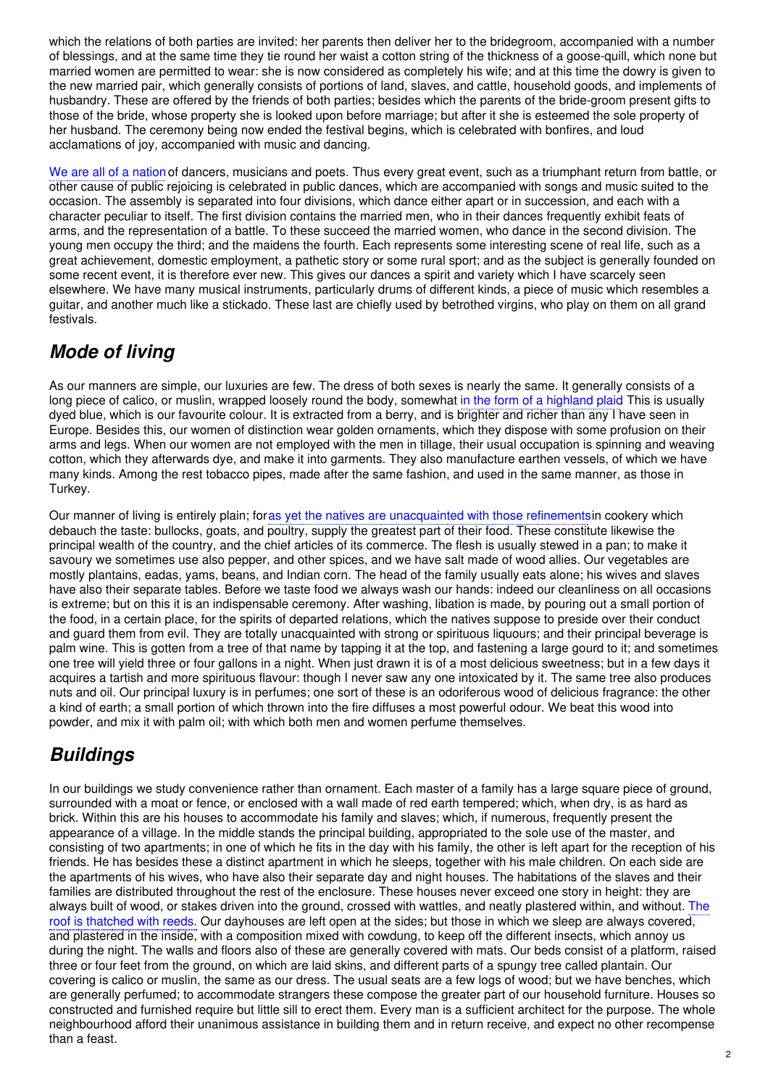which the relations of both parties are invited: her parents then deliver her to the bridegroom, accompanied with a number of blessings, and at the same time they tie round her waist a cotton string of the thickness of a goose-quill, which none but married women are permitted to wear: she is now considered as completely his wife; and at this time the dowry is given to the new married pair, which generally consists of portions of land, slaves, and cattle, household goods, and implements of husbandry. These are offered by the friends of both parties; besides which the parents of the bride-groom present gifts to those of the bride, whose property she is looked upon before marriage; but after it she is esteemed the sole property of her husband. The ceremony being now ended the festival begins, which is celebrated with bonfires, and loud acclamations of joy, accompanied with music and dancing.

We are all of a nation of dancers, musicians and poets. Thus every great event, such as a triumphant return from battle, or other cause of public rejoicing is celebrated in public dances, which are accompanied with songs and music suited to the occasion. The assembly is separated into four divisions, which dance either apart or in succession, and each with a character peculiar to itself. The first division contains the married men, who in their dances frequently exhibit feats of arms, and the representation of a battle. To these succeed the married women, who dance in the second division. The young men occupy the third; and the maidens the fourth. Each represents some interesting scene of real life, such as a great achievement, domestic employment, a pathetic story or some rural sport; and as the subject is generally founded on some recent event, it is therefore ever new. This gives our dances a spirit and variety which I have scarcely seen elsewhere. We have many musical instruments, particularly drums of different kinds, a piece of music which resembles a guitar, and another much like a stickado. These last are chiefly used by betrothed virgins, who play on them on all grand festivals.

#### *Mode of living*

As our manners are simple, our luxuries are few. The dress of both sexes is nearly the same. It generally consists of a long piece of calico, or muslin, wrapped loosely round the body, somewhat in the form of a highland plaid. This is usually dyed blue, which is our favourite colour. It is extracted from a berry, and is brighter and richer than any I have seen in Europe. Besides this, our women of distinction wear golden ornaments, which they dispose with some profusion on their arms and legs. When our women are not employed with the men in tillage, their usual occupation is spinning and weaving cotton, which they afterwards dye, and make it into garments. They also manufacture earthen vessels, of which we have many kinds. Among the rest tobacco pipes, made after the same fashion, and used in the same manner, as those in Turkey.

Our manner of living is entirely plain; foras yet the natives are unacquainted with those refinementsin cookery which debauch the taste: bullocks, goats, and poultry, supply the greatest part of their food. These constitute likewise the principal wealth of the country, and the chief articles of its commerce. The flesh is usually stewed in a pan; to make it savoury we sometimes use also pepper, and other spices, and we have salt made of wood allies. Our vegetables are mostly plantains, eadas, yams, beans, and Indian corn. The head of the family usually eats alone; his wives and slaves have also their separate tables. Before we taste food we always wash our hands: indeed our cleanliness on all occasions is extreme; but on this it is an indispensable ceremony. After washing, libation is made, by pouring out a small portion of the food, in a certain place, for the spirits of departed relations, which the natives suppose to preside over their conduct and guard them from evil. They are totally unacquainted with strong or spirituous liquours; and their principal beverage is palm wine. This is gotten from a tree of that name by tapping it at the top, and fastening a large gourd to it; and sometimes one tree will yield three or four gallons in a night. When just drawn it is of a most delicious sweetness; but in a few days it acquires a tartish and more spirituous flavour: though I never saw any one intoxicated by it. The same tree also produces nuts and oil. Our principal luxury is in perfumes; one sort of these is an odoriferous wood of delicious fragrance: the other a kind of earth; a small portion of which thrown into the fire diffuses a most powerful odour. We beat this wood into powder, and mix it with palm oil; with which both men and women perfume themselves.

# *Buildings*

In our buildings we study convenience rather than ornament. Each master of a family has a large square piece of ground, surrounded with a moat or fence, or enclosed with a wall made of red earth tempered; which, when dry, is as hard as brick. Within this are his houses to accommodate his family and slaves; which, if numerous, frequently present the appearance of a village. In the middle stands the principal building, appropriated to the sole use of the master, and consisting of two apartments; in one of which he fits in the day with his family, the other is left apart for the reception of his friends. He has besides these a distinct apartment in which he sleeps, together with his male children. On each side are the apartments of his wives, who have also their separate day and night houses. The habitations of the slaves and their families are distributed throughout the rest of the enclosure. These houses never exceed one story in height: they are always built of wood, or stakes driven into the ground, crossed with wattles, and neatly plastered within, and without. The roof is thatched with reeds. Our dayhouses are left open at the sides; but those in which we sleep are always covered, and plastered in the inside, with a composition mixed with cowdung, to keep off the different insects, which annoy us during the night. The walls and floors also of these are generally covered with mats. Our beds consist of a platform, raised three or four feet from the ground, on which are laid skins, and different parts of a spungy tree called plantain. Our covering is calico or muslin, the same as our dress. The usual seats are a few logs of wood; but we have benches, which are generally perfumed; to accommodate strangers these compose the greater part of our household furniture. Houses so constructed and furnished require but little sill to erect them. Every man is a sufficient architect for the purpose. The whole neighbourhood afford their unanimous assistance in building them and in return receive, and expect no other recompense than a feast.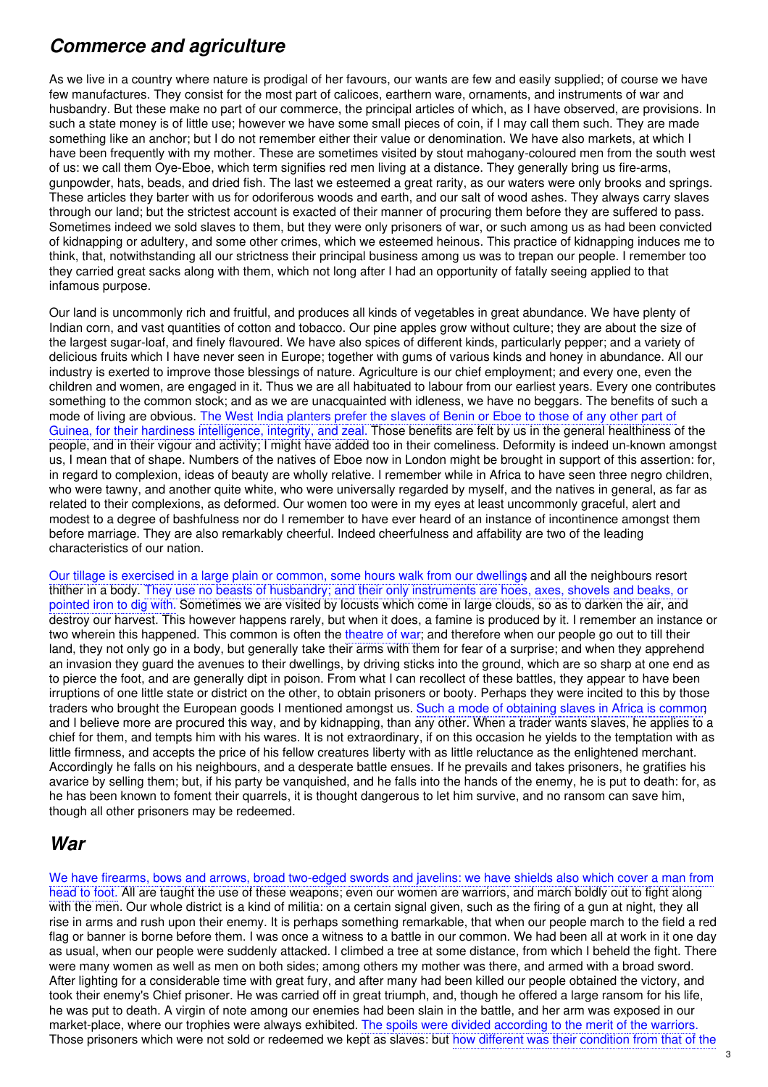### *Commerce and agriculture*

As we live in a country where nature is prodigal of her favours, our wants are few and easily supplied; of course we have few manufactures. They consist for the most part of calicoes, earthern ware, ornaments, and instruments of war and husbandry. But these make no part of our commerce, the principal articles of which, as I have observed, are provisions. In such a state money is of little use; however we have some small pieces of coin, if I may call them such. They are made something like an anchor; but I do not remember either their value or denomination. We have also markets, at which I have been frequently with my mother. These are sometimes visited by stout mahogany-coloured men from the south west of us: we call them Oye-Eboe, which term signifies red men living at a distance. They generally bring us fire-arms, gunpowder, hats, beads, and dried fish. The last we esteemed a great rarity, as our waters were only brooks and springs. These articles they barter with us for odoriferous woods and earth, and our salt of wood ashes. They always carry slaves through our land; but the strictest account is exacted of their manner of procuring them before they are suffered to pass. Sometimes indeed we sold slaves to them, but they were only prisoners of war, or such among us as had been convicted of kidnapping or adultery, and some other crimes, which we esteemed heinous. This practice of kidnapping induces me to think, that, notwithstanding all our strictness their principal business among us was to trepan our people. I remember too they carried great sacks along with them, which not long after I had an opportunity of fatally seeing applied to that infamous purpose.

Our land is uncommonly rich and fruitful, and produces all kinds of vegetables in great abundance. We have plenty of Indian corn, and vast quantities of cotton and tobacco. Our pine apples grow without culture; they are about the size of the largest sugar-loaf, and finely flavoured. We have also spices of different kinds, particularly pepper; and a variety of delicious fruits which I have never seen in Europe; together with gums of various kinds and honey in abundance. All our industry is exerted to improve those blessings of nature. Agriculture is our chief employment; and every one, even the children and women, are engaged in it. Thus we are all habituated to labour from our earliest years. Every one contributes something to the common stock; and as we are unacquainted with idleness, we have no beggars. The benefits of such a mode of living are obvious. The West India planters prefer the slaves of Benin or Eboe to those of any other part of Guinea, for their hardiness intelligence, integrity, and zeal. Those benefits are felt by us in the general healthiness of the people, and in their vigour and activity; I might have added too in their comeliness. Deformity is indeed un-known amongst us, I mean that of shape. Numbers of the natives of Eboe now in London might be brought in support of this assertion: for, in regard to complexion, ideas of beauty are wholly relative. I remember while in Africa to have seen three negro children, who were tawny, and another quite white, who were universally regarded by myself, and the natives in general, as far as related to their complexions, as deformed. Our women too were in my eyes at least uncommonly graceful, alert and modest to a degree of bashfulness nor do I remember to have ever heard of an instance of incontinence amongst them before marriage. They are also remarkably cheerful. Indeed cheerfulness and affability are two of the leading characteristics of our nation.

Our tillage is exercised in a large plain or common, some hours walk from our dwellings and all the neighbours resort thither in a body. They use no beasts of husbandry; and their only instruments are hoes, axes, shovels and beaks, or pointed iron to dig with. Sometimes we are visited by locusts which come in large clouds, so as to darken the air, and destroy our harvest. This however happens rarely, but when it does, a famine is produced by it. I remember an instance or two wherein this happened. This common is often the theatre of war; and therefore when our people go out to till their land, they not only go in a body, but generally take their arms with them for fear of a surprise; and when they apprehend an invasion they guard the avenues to their dwellings, by driving sticks into the ground, which are so sharp at one end as to pierce the foot, and are generally dipt in poison. From what I can recollect of these battles, they appear to have been irruptions of one little state or district on the other, to obtain prisoners or booty. Perhaps they were incited to this by those traders who brought the European goods I mentioned amongst us. Such a mode of obtaining slaves in Africa is common and I believe more are procured this way, and by kidnapping, than any other. When a trader wants slaves, he applies to a chief for them, and tempts him with his wares. It is not extraordinary, if on this occasion he yields to the temptation with as little firmness, and accepts the price of his fellow creatures liberty with as little reluctance as the enlightened merchant. Accordingly he falls on his neighbours, and a desperate battle ensues. If he prevails and takes prisoners, he gratifies his avarice by selling them; but, if his party be vanquished, and he falls into the hands of the enemy, he is put to death: for, as he has been known to foment their quarrels, it is thought dangerous to let him survive, and no ransom can save him, though all other prisoners may be redeemed.

#### *War*

We have firearms, bows and arrows, broad two-edged swords and javelins: we have shields also which cover a man from head to foot. All are taught the use of these weapons; even our women are warriors, and march boldly out to fight along with the men. Our whole district is a kind of militia: on a certain signal given, such as the firing of a gun at night, they all rise in arms and rush upon their enemy. It is perhaps something remarkable, that when our people march to the field a red flag or banner is borne before them. I was once a witness to a battle in our common. We had been all at work in it one day as usual, when our people were suddenly attacked. I climbed a tree at some distance, from which I beheld the fight. There were many women as well as men on both sides; among others my mother was there, and armed with a broad sword. After lighting for a considerable time with great fury, and after many had been killed our people obtained the victory, and took their enemy's Chief prisoner. He was carried off in great triumph, and, though he offered a large ransom for his life, he was put to death. A virgin of note among our enemies had been slain in the battle, and her arm was exposed in our market-place, where our trophies were always exhibited. The spoils were divided according to the merit of the warriors. Those prisoners which were not sold or redeemed we kept as slaves: but how different was their condition from that of the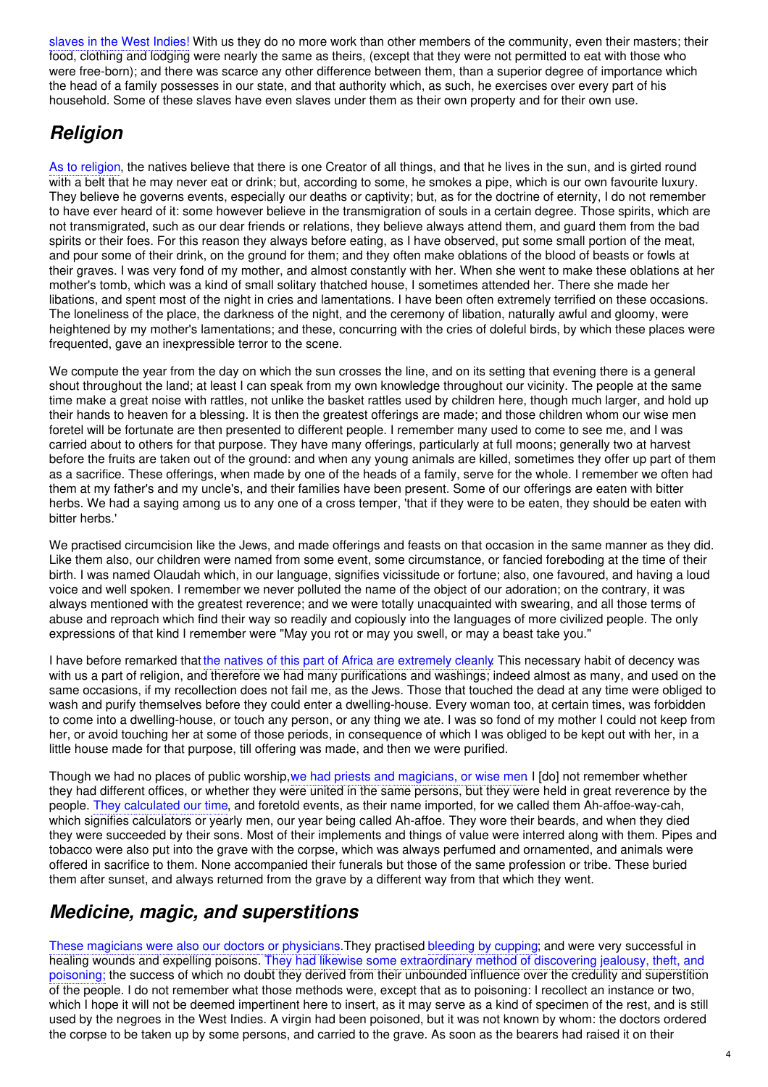slaves in the West Indies! With us they do no more work than other members of the community, even their masters; their food, clothing and lodging were nearly the same as theirs, (except that they were not permitted to eat with those who were free-born); and there was scarce any other difference between them, than a superior degree of importance which the head of a family possesses in our state, and that authority which, as such, he exercises over every part of his household. Some of these slaves have even slaves under them as their own property and for their own use.

## *Religion*

As to religion, the natives believe that there is one Creator of all things, and that he lives in the sun, and is girted round with a belt that he may never eat or drink; but, according to some, he smokes a pipe, which is our own favourite luxury. They believe he governs events, especially our deaths or captivity; but, as for the doctrine of eternity, I do not remember to have ever heard of it: some however believe in the transmigration of souls in a certain degree. Those spirits, which are not transmigrated, such as our dear friends or relations, they believe always attend them, and guard them from the bad spirits or their foes. For this reason they always before eating, as I have observed, put some small portion of the meat, and pour some of their drink, on the ground for them; and they often make oblations of the blood of beasts or fowls at their graves. I was very fond of my mother, and almost constantly with her. When she went to make these oblations at her mother's tomb, which was a kind of small solitary thatched house, I sometimes attended her. There she made her libations, and spent most of the night in cries and lamentations. I have been often extremely terrified on these occasions. The loneliness of the place, the darkness of the night, and the ceremony of libation, naturally awful and gloomy, were heightened by my mother's lamentations; and these, concurring with the cries of doleful birds, by which these places were frequented, gave an inexpressible terror to the scene.

We compute the year from the day on which the sun crosses the line, and on its setting that evening there is a general shout throughout the land; at least I can speak from my own knowledge throughout our vicinity. The people at the same time make a great noise with rattles, not unlike the basket rattles used by children here, though much larger, and hold up their hands to heaven for a blessing. It is then the greatest offerings are made; and those children whom our wise men foretel will be fortunate are then presented to different people. I remember many used to come to see me, and I was carried about to others for that purpose. They have many offerings, particularly at full moons; generally two at harvest before the fruits are taken out of the ground: and when any young animals are killed, sometimes they offer up part of them as a sacrifice. These offerings, when made by one of the heads of a family, serve for the whole. I remember we often had them at my father's and my uncle's, and their families have been present. Some of our offerings are eaten with bitter herbs. We had a saying among us to any one of a cross temper, 'that if they were to be eaten, they should be eaten with bitter herbs.'

We practised circumcision like the Jews, and made offerings and feasts on that occasion in the same manner as they did. Like them also, our children were named from some event, some circumstance, or fancied foreboding at the time of their birth. I was named Olaudah which, in our language, signifies vicissitude or fortune; also, one favoured, and having a loud voice and well spoken. I remember we never polluted the name of the object of our adoration; on the contrary, it was always mentioned with the greatest reverence; and we were totally unacquainted with swearing, and all those terms of abuse and reproach which find their way so readily and copiously into the languages of more civilized people. The only expressions of that kind I remember were "May you rot or may you swell, or may a beast take you."

I have before remarked that the natives of this part of Africa are extremely cleanly. This necessary habit of decency was with us a part of religion, and therefore we had many purifications and washings; indeed almost as many, and used on the same occasions, if my recollection does not fail me, as the Jews. Those that touched the dead at any time were obliged to wash and purify themselves before they could enter a dwelling-house. Every woman too, at certain times, was forbidden to come into a dwelling-house, or touch any person, or any thing we ate. I was so fond of my mother I could not keep from her, or avoid touching her at some of those periods, in consequence of which I was obliged to be kept out with her, in a little house made for that purpose, till offering was made, and then we were purified.

Though we had no places of public worship, we had priests and magicians, or wise men. I [do] not remember whether they had different offices, or whether they were united in the same persons, but they were held in great reverence by the people. They calculated our time, and foretold events, as their name imported, for we called them Ah-affoe-way-cah, which signifies calculators or yearly men, our year being called Ah-affoe. They wore their beards, and when they died they were succeeded by their sons. Most of their implements and things of value were interred along with them. Pipes and tobacco were also put into the grave with the corpse, which was always perfumed and ornamented, and animals were offered in sacrifice to them. None accompanied their funerals but those of the same profession or tribe. These buried them after sunset, and always returned from the grave by a different way from that which they went.

#### *Medicine, magic, and superstitions*

These magicians were also our doctors or physicians.They practised bleeding by cupping; and were very successful in healing wounds and expelling poisons. They had likewise some extraordinary method of discovering jealousy, theft, and poisoning; the success of which no doubt they derived from their unbounded influence over the credulity and superstition of the people. I do not remember what those methods were, except that as to poisoning: I recollect an instance or two, which I hope it will not be deemed impertinent here to insert, as it may serve as a kind of specimen of the rest, and is still used by the negroes in the West Indies. A virgin had been poisoned, but it was not known by whom: the doctors ordered the corpse to be taken up by some persons, and carried to the grave. As soon as the bearers had raised it on their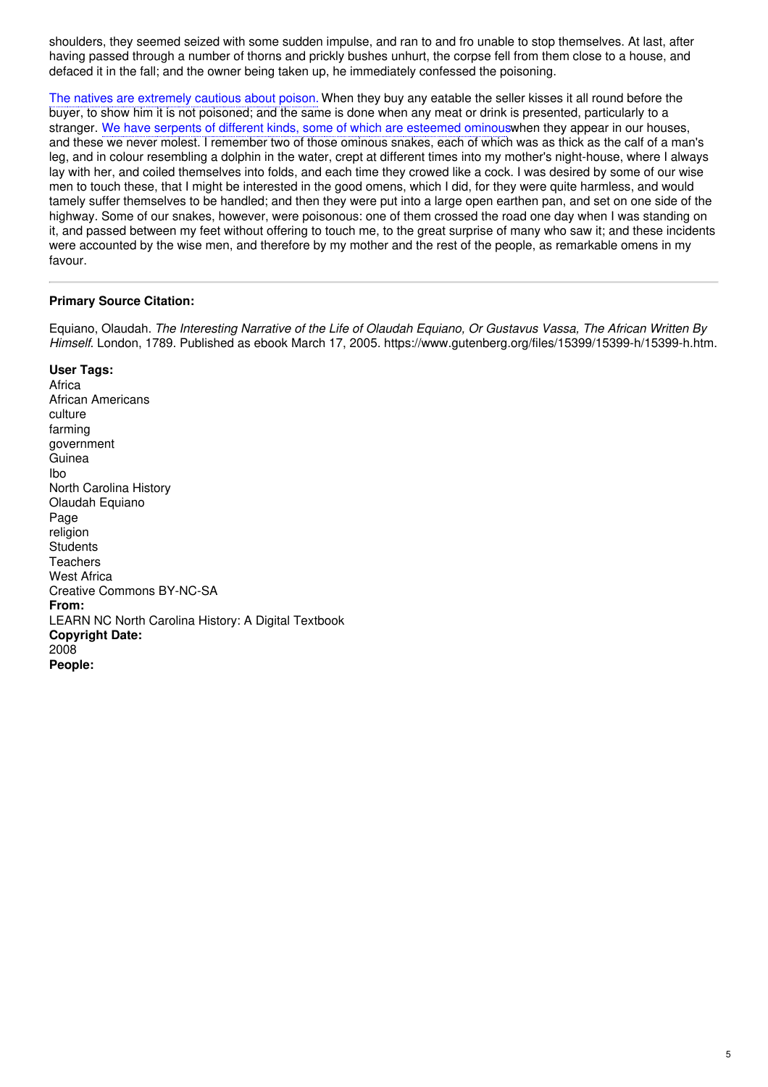shoulders, they seemed seized with some sudden impulse, and ran to and fro unable to stop themselves. At last, after having passed through a number of thorns and prickly bushes unhurt, the corpse fell from them close to a house, and defaced it in the fall; and the owner being taken up, he immediately confessed the poisoning.

The natives are extremely cautious about poison. When they buy any eatable the seller kisses it all round before the buyer, to show him it is not poisoned; and the same is done when any meat or drink is presented, particularly to a stranger. We have serpents of different kinds, some of which are esteemed ominouswhen they appear in our houses, and these we never molest. I remember two of those ominous snakes, each of which was as thick as the calf of a man's leg, and in colour resembling a dolphin in the water, crept at different times into my mother's night-house, where I always lay with her, and coiled themselves into folds, and each time they crowed like a cock. I was desired by some of our wise men to touch these, that I might be interested in the good omens, which I did, for they were quite harmless, and would tamely suffer themselves to be handled; and then they were put into a large open earthen pan, and set on one side of the highway. Some of our snakes, however, were poisonous: one of them crossed the road one day when I was standing on it, and passed between my feet without offering to touch me, to the great surprise of many who saw it; and these incidents were accounted by the wise men, and therefore by my mother and the rest of the people, as remarkable omens in my favour.

#### **Primary Source Citation:**

Equiano, Olaudah. The Interesting Narrative of the Life of Olaudah Equiano, Or Gustavus Vassa, The African Written By *Himself*. London, 1789. Published as ebook March 17, 2005. https://www.gutenberg.org/files/15399/15399-h/15399-h.htm.

#### **User Tags:**

Africa African Americans culture farming government **Guinea** Ibo North Carolina History Olaudah Equiano Page religion **Students Teachers** West Africa Creative Commons BY-NC-SA **From:** LEARN NC North Carolina History: A Digital Textbook **Copyright Date:** 2008 **People:**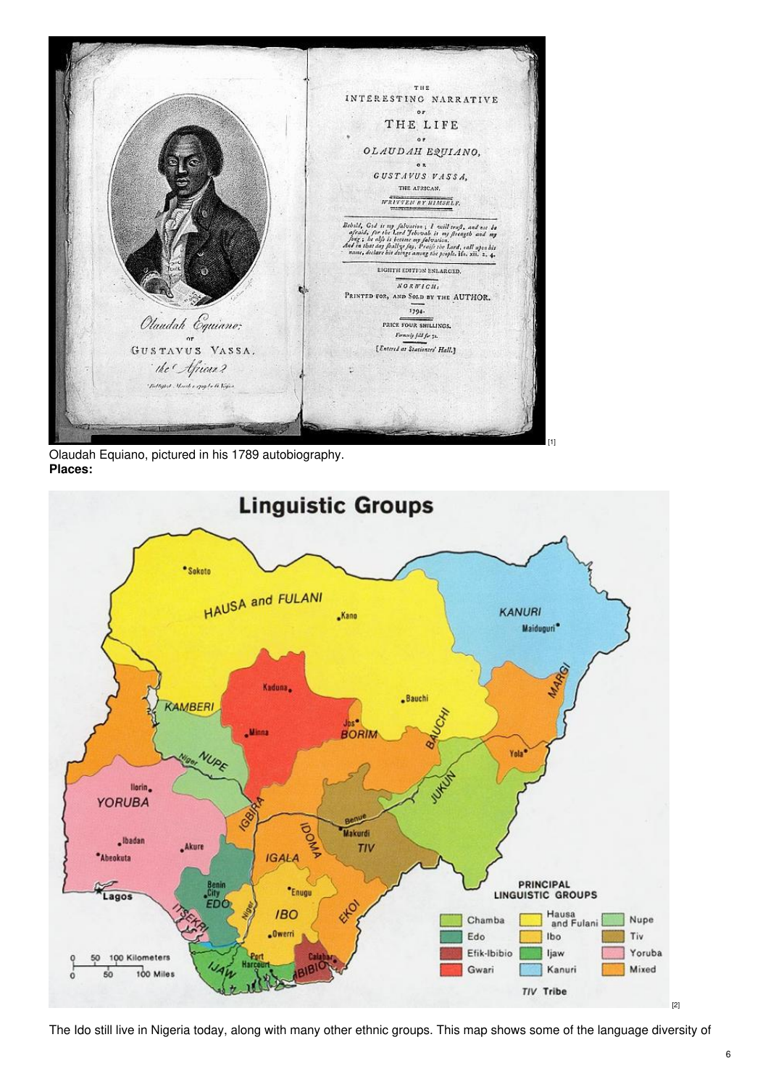

Olaudah Equiano, pictured in his 1789 autobiography. **Places:**



[1]

The Ido still live in Nigeria today, along with many other ethnic groups. This map shows some of the language diversity of